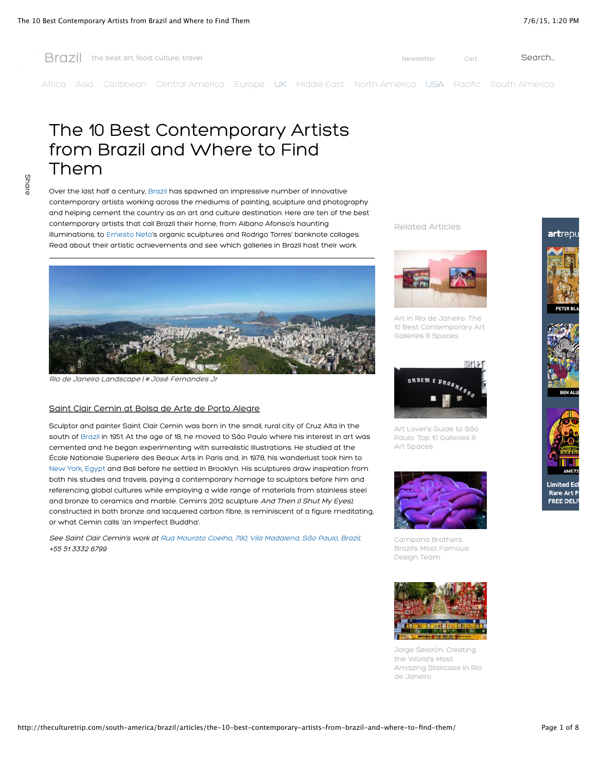

Share

[Africa](http://theculturetrip.com/africa/) [Asia](http://theculturetrip.com/asia/) [Caribbean](http://theculturetrip.com/caribbean/) [Central America](http://theculturetrip.com/central-america/) [Europe](http://theculturetrip.com/europe/) [UK](http://theculturetrip.com/europe/united-kingdom/) [Middle East](http://theculturetrip.com/middle-east/) [North America](http://theculturetrip.com/north-america/) [USA](http://theculturetrip.com/north-america/usa/) [Pacific](http://theculturetrip.com/pacific/) [South America](http://theculturetrip.com/south-america/)

The 10 Best Contemporary Artists from Brazil and Where to Find Them

Over the last half a century, [Brazil](http://theculturetrip.com/south-america/brazil/) has spawned an impressive number of innovative contemporary artists working across the mediums of painting, sculpture and photography and helping cement the country as an art and culture destination. Here are ten of the best contemporary artists that call Brazil their home, from Albano Afonso's haunting illuminations, to [Ernesto Neto](http://theculturetrip.com/south-america/brazil/articles/the-art-of-ernesto-neto-a-trip-into-the-ludic-/)'s organic sculptures and Rodrigo Torres' banknote collages. Read about their artistic achievements and see which galleries in Brazil host their work.



[Rio de Janeiro Landscape | © José Fernandes Jr](http://www.flickr.com/photos/47365765@N02/10912431134/in/photolist-hCi4Ao-cY2bwA-b9pwvV-b9pB6X-b9pxFM-b9pxup-b9pvj8-b9pzez-dfrD4V-djLTBp-b9pzrt-dfrJ9Y-djLU1D-dfrEh3-b9pBAX-b9pzT6-b9pyzX-dfrFMJ-b9pyo8-djLWjG-djLWAD-b9pBkR-dfrEdT-dfrCZk-b9pzEa-b9pyb8-djLTEr-djLWqe-b9pz1Z-dfrGx4-b9piWk-dBzJFu-dZyTPg-dRTvGQ-eiBZJ5-dQwerQ-e2sGRd-dXcBho-dL2koW-dWDEb2-dAWuKV-dQxRjX-dNx1eP-e2n3bD-epN8ru-dPv87q-dDt1eD-dMChJD-dMHSPC-7T5Foq-7T2qs2)

## Saint Clair Cemin at Bolsa de Arte de Porto Alegre

Sculptor and painter Saint Clair Cemin was born in the small, rural city of Cruz Alta in the south of [Brazil](http://theculturetrip.com/south-america/brazil/) in 1951. At the age of 18, he moved to São Paulo where his interest in art was cemented and he began experimenting with surrealistic illustrations. He studied at the École Nationale Superiere des Beaux Arts in Paris and, in 1978, his wanderlust took him to [New York](http://theculturetrip.com/north-america/usa/new-york/), [Egypt](http://theculturetrip.com/africa/egypt/) and Bali before he settled in Brooklyn. His sculptures draw inspiration from both his studies and travels, paying a contemporary homage to sculptors before him and referencing global cultures while employing a wide range of materials from stainless steel and bronze to ceramics and marble. Cemin's 2012 sculpture And Then (I Shut My Eyes), constructed in both bronze and lacquered carbon fibre, is reminiscent of a figure meditating, or what Cemin calls 'an imperfect Buddha'.

See Saint Clair Cemin's work at [Rua Mourato Coelho, 790, Vila Madalena, São Paulo, Brazil,](https://www.google.co.uk/maps/place/Rua+Mourato+Coelho,+790+-+Pinheiros/@-23.5606563,-46.6894167,17z/data=!3m1!4b1!4m2!3m1!1s0x94ce57989b292c17:0x6f1ee2fd964c9333?hl=en) +55 51 3332 6799

Related Articles



Art in Rio de Janeiro: The [10 Best Contemporary Art](http://theculturetrip.com/south-america/brazil/articles/art-in-rio-de-janeiro-the-10-best-contemporary-art-galleries-spaces/) Galleries & Spaces



[Art Lover's Guide to São](http://theculturetrip.com/south-america/brazil/articles/art-lover-s-guide-to-s-o-paulo-top-10-galleries-art-spaces/) Paulo: Top 10 Galleries & Art Spaces



Campana Brothers: [Brazil's Most Famous](http://theculturetrip.com/south-america/brazil/articles/l-szl-moholy-nagy-progress-above-all-else/) Design Team



Jorge Selarón: Creating the World's Most [Amazing Staircase in Rio](http://theculturetrip.com/south-america/brazil/articles/-jorge-selar-n-creating-the-world-s-most-amazing-staircase-in-rio-de-janeiro-/) de Janeiro

# artrep







**Rare Art I FREE DELI**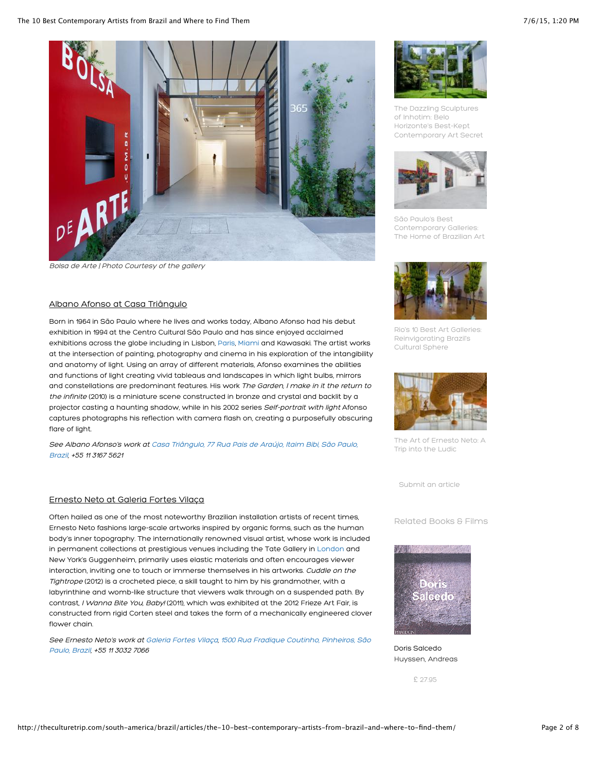

Bolsa de Arte | Photo Courtesy of the gallery

# Albano Afonso at Casa Triângulo

Born in 1964 in São Paulo where he lives and works today, Albano Afonso had his debut exhibition in 1994 at the Centro Cultural São Paulo and has since enjoyed acclaimed exhibitions across the globe including in Lisbon, [Paris,](http://theculturetrip.com/europe/france/paris/) [Miami](http://theculturetrip.com/north-america/usa/florida/) and Kawasaki. The artist works at the intersection of painting, photography and cinema in his exploration of the intangibility and anatomy of light. Using an array of different materials, Afonso examines the abilities and functions of light creating vivid tableaus and landscapes in which light bulbs, mirrors and constellations are predominant features. His work The Garden, I make in it the return to the infinite (2010) is a miniature scene constructed in bronze and crystal and backlit by a projector casting a haunting shadow, while in his 2002 series Self-portrait with light Afonso captures photographs his reflection with camera flash on, creating a purposefully obscuring flare of light.

See Albano Afonso's work at [C](https://maps.google.com/maps/ms?msid=206322101465595735753.0004f39373f7d8774c36a&msa=0&ll=-21.779905,-34.980469&spn=43.177421,86.572266&dg=feature)[asa Triângulo,](http://www.casatriangulo.com/en) [77 Rua Pais de Araújo, Itaim Bibi, São Paulo,](https://maps.google.com/maps/ms?msid=206322101465595735753.0004f39373f7d8774c36a&msa=0&ll=-21.779905,-34.980469&spn=43.177421,86.572266&dg=feature) Brazil, +55 11 3167 5621

## Ernesto Neto at Galeria Fortes Vilaça

Often hailed as one of the most noteworthy Brazilian installation artists of recent times, Ernesto Neto fashions large-scale artworks inspired by organic forms, such as the human body's inner topography. The internationally renowned visual artist, whose work is included in permanent collections at prestigious venues including the Tate Gallery in [London](http://theculturetrip.com/europe/united-kingdom/england/london/) and New York's Guggenheim, primarily uses elastic materials and often encourages viewer interaction, inviting one to touch or immerse themselves in his artworks. Cuddle on the Tightrope (2012) is a crocheted piece, a skill taught to him by his grandmother, with a labyrinthine and womb-like structure that viewers walk through on a suspended path. By contrast, I Wanna Bite You, Baby! (2011), which was exhibited at the 2012 Frieze Art Fair, is constructed from rigid Corten steel and takes the form of a mechanically engineered clover flower chain.

See Ernesto Neto's work at [Galeria Fortes Vila](http://www.fortesvilaca.com.br/)[ç](https://maps.google.com/maps/ms?msid=206322101465595735753.0004f39373f7d8774c36a&msa=0&ll=-21.779905,-34.980469&spn=43.177421,86.572266&dg=feature)[a](http://www.fortesvilaca.com.br/)[, 1500 Rua Fradique Coutinho, Pinheiros, São](https://maps.google.com/maps/ms?msid=206322101465595735753.0004f39373f7d8774c36a&msa=0&ll=-21.779905,-34.980469&spn=43.177421,86.572266&dg=feature) Paulo, Brazil, +55 11 3032 7066



The Dazzling Sculptures of Inhotim: Belo Horizonte's Best-Kept [Contemporary Art Secret](http://theculturetrip.com/south-america/brazil/articles/the-dazzling-sculptures-of-inhotim-belo-horizonte-s-best-kept-contemporary-art-secret/)



São Paulo's Best Contemporary Galleries: [The Home of Brazilian Art](http://theculturetrip.com/south-america/brazil/articles/s-o-paulo-s-best-contemporary-galleries-the-home-of-brazilian-art-/)



[Rio's 10 Best Art Galleries:](http://theculturetrip.com/south-america/brazil/articles/rio-s-10-best-art-galleries-reinvigorating-brazil-s-cultural-sphere/) Reinvigorating Brazil's Cultural Sphere



[The Art of Ernesto Neto: A](http://theculturetrip.com/south-america/brazil/articles/the-art-of-ernesto-neto-a-trip-into-the-ludic-/) Trip into the Ludic

[Submit an article](http://theculturetrip.com/write-articles/)

Related Books & Films



Doris Salcedo [Huyssen, Andreas](http://theculturetrip.com/product-details/110285/)

£ [27.95](http://store.theculturetrip.com/cart.php?action=add&product_id=110285)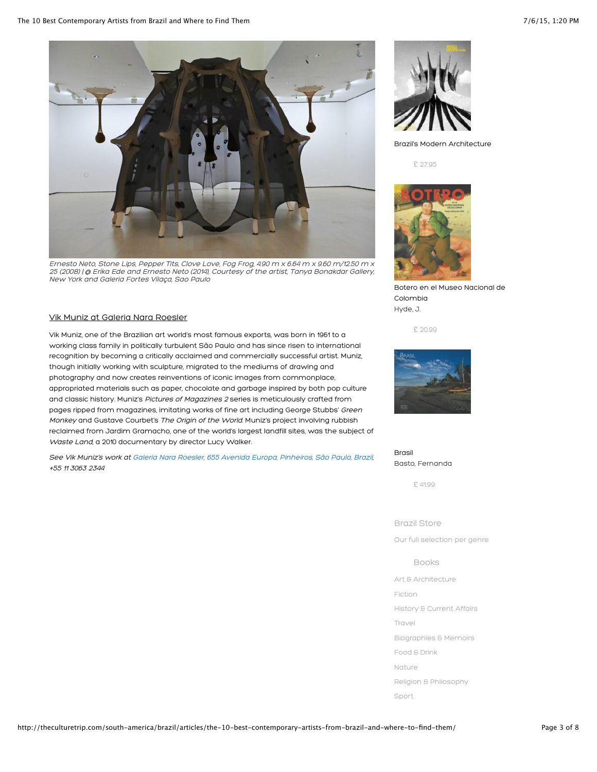

Ernesto Neto, Stone Lips, Pepper Tits, Clove Love, Fog Frog, 4.90 m x 6.64 m x 9.60 m/12.50 m x 25 (2008) | @ Erika Ede and Ernesto Neto (2014), Courtesy of the artist, Tanya Bonakdar Gallery, New York and Galeria Fortes Vilaça, Sao Paulo

### Vik Muniz at Galeria Nara Roesler

Vik Muniz, one of the Brazilian art world's most famous exports, was born in 1961 to a working class family in politically turbulent São Paulo and has since risen to international recognition by becoming a critically acclaimed and commercially successful artist. Muniz, though initially working with sculpture, migrated to the mediums of drawing and photography and now creates reinventions of iconic images from commonplace, appropriated materials such as paper, chocolate and garbage inspired by both pop culture and classic history. Muniz's Pictures of Magazines 2 series is meticulously crafted from pages ripped from magazines, imitating works of fine art including George Stubbs' Green Monkey and Gustave Courbet's The Origin of the World. Muniz's project involving rubbish reclaimed from Jardim Gramacho, one of the world's largest landfill sites, was the subject of Waste Land, a 2010 documentary by director Lucy Walker.

See Vik Muniz's work at [Galeria Nara Roesler,](http://www.nararoesler.com.br/) [655 Avenida Europa, Pinheiros, São Paulo, Brazil](https://maps.google.com/maps/ms?msid=206322101465595735753.0004f39373f7d8774c36a&msa=0&ll=-21.779905,-34.980469&spn=43.177421,86.572266&dg=feature), +55 11 3063 2344



[Brazil's Modern Architecture](http://theculturetrip.com/product-details/374835/)

£ [27.95](http://store.theculturetrip.com/cart.php?action=add&product_id=374835)



[Botero en el Museo Nacional de](http://theculturetrip.com/product-details/1436036/) Colombia Hyde, J.

£ [20.99](http://store.theculturetrip.com/cart.php?action=add&product_id=1436036)



Brasil [Basto, Fernanda](http://theculturetrip.com/product-details/5978524/)

£ [41.99](http://store.theculturetrip.com/cart.php?action=add&product_id=5978524)

Brazil Store

Our full selection per genre

Books

[Art & Architecture](http://store.theculturetrip.com/south-america/brazil/books/arts-architecture/)

[Fiction](http://store.theculturetrip.com/south-america/brazil/books/fiction/)

[History & Current Affairs](http://store.theculturetrip.com/south-america/brazil/books/history-current-affairs/)

[Travel](http://store.theculturetrip.com/south-america/brazil/books/travel/)

[Biographies & Memoirs](http://store.theculturetrip.com/south-america/brazil/books/biographies-memoirs/)

[Food & Drink](http://store.theculturetrip.com/south-america/brazil/books/food-drink/)

[Nature](http://store.theculturetrip.com/south-america/brazil/books/nature/)

[Religion & Philosophy](http://store.theculturetrip.com/south-america/brazil/books/theology-philosophy/)

[Sport](http://store.theculturetrip.com/south-america/brazil/books/sport/)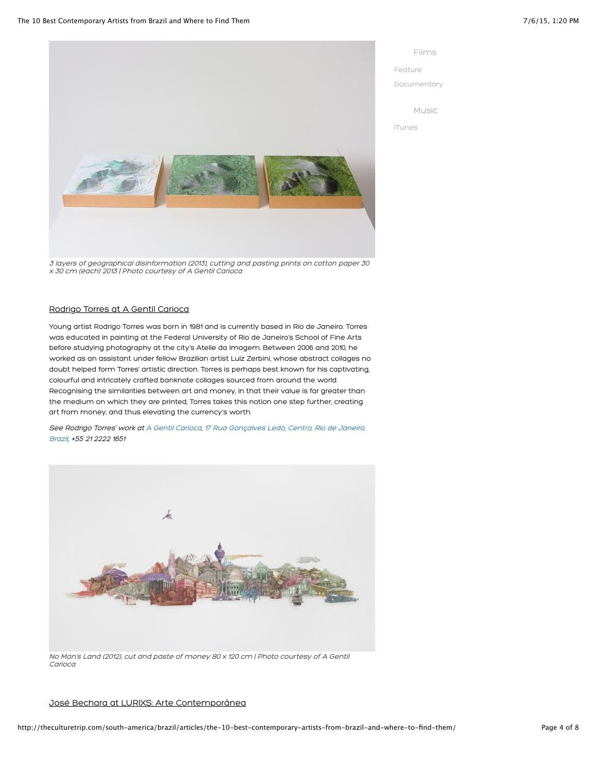

3 layers of geographical disinformation (2013), cutting and pasting prints on cotton paper 30 x 30 cm (each) 2013 | Photo courtesy of A Gentil Carioca

## Rodrigo Torres at A Gentil Carioca

Young artist Rodrigo Torres was born in 1981 and is currently based in Rio de Janeiro. Torres was educated in painting at the Federal University of Rio de Janeiro's School of Fine Arts before studying photography at the city's Atelie da Imagem. Between 2006 and 2010, he worked as an assistant under fellow Brazilian artist Luiz Zerbini, whose abstract collages no doubt helped form Torres' artistic direction. Torres is perhaps best known for his captivating, colourful and intricately crafted banknote collages sourced from around the world. Recognising the similarities between art and money, in that their value is far greater than the medium on which they are printed, Torres takes this notion one step further, creating art from money, and thus elevating the currency's worth.

[See Rodrigo Torres' work at](https://maps.google.com/maps/ms?msid=206322101465595735753.0004f39373f7d8774c36a&msa=0&ll=-21.779905,-34.980469&spn=43.177421,86.572266&dg=feature) [A Gentil Carioc](http://A%20Gentil%20Carioca)[a, 17 Rua Gonçalves Ledo, Centro, Rio de Janeiro,](https://maps.google.com/maps/ms?msid=206322101465595735753.0004f39373f7d8774c36a&msa=0&ll=-21.779905,-34.980469&spn=43.177421,86.572266&dg=feature) Brazil, +55 21 2222 1651



No Man's Land (2012), cut and paste of money 80 x 120 cm | Photo courtesy of A Gentil Carioca

## José Bechara at LURIXS: Arte Contemporânea

Films [Feature](http://store.theculturetrip.com/south-america/brazil/films/feature/) [Documentary](http://store.theculturetrip.com/south-america/brazil/films/documentary/) Music

[iTunes](http://clk.tradedoubler.com/click?p=23708&a=2078342&url=)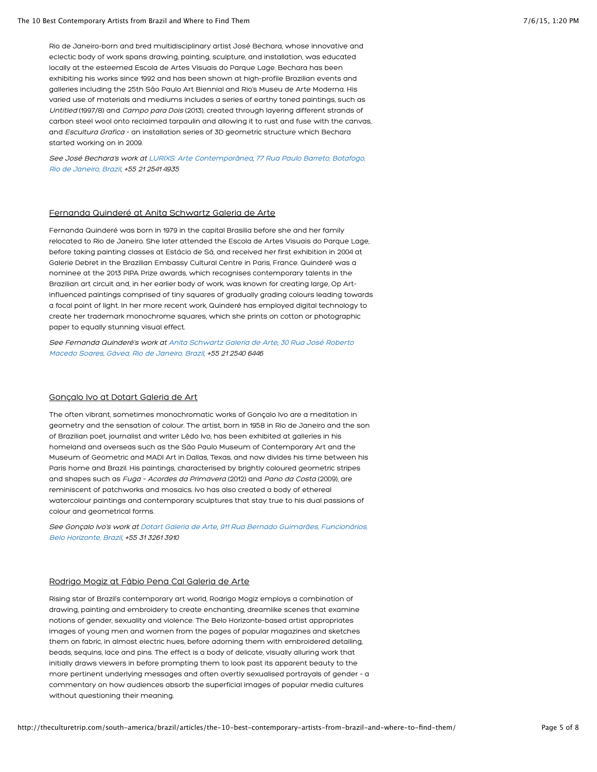Rio de Janeiro-born and bred multidisciplinary artist José Bechara, whose innovative and eclectic body of work spans drawing, painting, sculpture, and installation, was educated locally at the esteemed Escola de Artes Visuais do Parque Lage. Bechara has been exhibiting his works since 1992 and has been shown at high-profile Brazilian events and galleries including the 25th São Paulo Art Biennial and Rio's Museu de Arte Moderna. His varied use of materials and mediums includes a series of earthy toned paintings, such as Untitled (1997/8) and Campo para Dois (2013), created through layering different strands of carbon steel wool onto reclaimed tarpaulin and allowing it to rust and fuse with the canvas, and Escultura Grafica – an installation series of 3D geometric structure which Bechara started working on in 2009.

[See José Bechara's work at](https://maps.google.com/maps/ms?msid=206322101465595735753.0004f39373f7d8774c36a&msa=0&ll=-21.779905,-34.980469&spn=43.177421,86.572266&dg=feature) [LURIXS: Arte Contem](http://www.lurixs.com/galeria)[p](https://maps.google.com/maps/ms?msid=206322101465595735753.0004f39373f7d8774c36a&msa=0&ll=-21.779905,-34.980469&spn=43.177421,86.572266&dg=feature)[orânea](http://www.lurixs.com/galeria)[, 77 Rua Paulo Barreto, Botafogo,](https://maps.google.com/maps/ms?msid=206322101465595735753.0004f39373f7d8774c36a&msa=0&ll=-21.779905,-34.980469&spn=43.177421,86.572266&dg=feature) Rio de Janeiro, Brazil, +55 21 2541 4935

#### Fernanda Quinderé at Anita Schwartz Galeria de Arte

Fernanda Quinderé was born in 1979 in the capital Brasilia before she and her family relocated to Rio de Janeiro. She later attended the Escola de Artes Visuais do Parque Lage, before taking painting classes at Estácio de Sá, and received her first exhibition in 2004 at Galerie Debret in the Brazilian Embassy Cultural Centre in Paris, France. Quinderé was a nominee at the 2013 PIPA Prize awards, which recognises contemporary talents in the Brazilian art circuit and, in her earlier body of work, was known for creating large, Op Artinfluenced paintings comprised of tiny squares of gradually grading colours leading towards a focal point of light. In her more recent work, Quinderé has employed digital technology to create her trademark monochrome squares, which she prints on cotton or photographic paper to equally stunning visual effect.

[See Fernanda Quinderé's work at](https://maps.google.com/maps/ms?msid=206322101465595735753.0004f39373f7d8774c36a&msa=0&ll=-21.779905,-34.980469&spn=43.177421,86.572266&dg=feature) [Anita Schwartz Galeria de Art](http://www.anitaschwartz.com.br/)[e, 30 Rua José Roberto](https://maps.google.com/maps/ms?msid=206322101465595735753.0004f39373f7d8774c36a&msa=0&ll=-21.779905,-34.980469&spn=43.177421,86.572266&dg=feature) Macedo Soares, Gávea, Rio de Janeiro, Brazil, +55 21 2540 6446

#### Gonçalo Ivo at Dotart Galeria de Art

The often vibrant, sometimes monochromatic works of Gonçalo Ivo are a meditation in geometry and the sensation of colour. The artist, born in 1958 in Rio de Janeiro and the son of Brazilian poet, journalist and writer Lêdo Ivo, has been exhibited at galleries in his homeland and overseas such as the São Paulo Museum of Contemporary Art and the Museum of Geometric and MADI Art in Dallas, Texas, and now divides his time between his Paris home and Brazil. His paintings, characterised by brightly coloured geometric stripes and shapes such as Fuga – Acordes da Primavera (2012) and Pano da Costa (2009), are reminiscent of patchworks and mosaics. Ivo has also created a body of ethereal watercolour paintings and contemporary sculptures that stay true to his dual passions of colour and geometrical forms.

[See Gonçalo Ivo's work at](https://maps.google.com/maps/ms?msid=206322101465595735753.0004f39373f7d8774c36a&msa=0&ll=-21.779905,-34.980469&spn=43.177421,86.572266&dg=feature) [Dotart Galeria de Art](http://www.dotart.com.br/)[e, 911 Rua Bernado Guimarães, Funcionários,](https://maps.google.com/maps/ms?msid=206322101465595735753.0004f39373f7d8774c36a&msa=0&ll=-21.779905,-34.980469&spn=43.177421,86.572266&dg=feature) Belo Horizonte, Brazil, +55 31 3261 3910

#### Rodrigo Mogiz at Fábio Pena Cal Galeria de Arte

Rising star of Brazil's contemporary art world, Rodrigo Mogiz employs a combination of drawing, painting and embroidery to create enchanting, dreamlike scenes that examine notions of gender, sexuality and violence. The Belo Horizonte-based artist appropriates images of young men and women from the pages of popular magazines and sketches them on fabric, in almost electric hues, before adorning them with embroidered detailing, beads, sequins, lace and pins. The effect is a body of delicate, visually alluring work that initially draws viewers in before prompting them to look past its apparent beauty to the more pertinent underlying messages and often overtly sexualised portrayals of gender – a commentary on how audiences absorb the superficial images of popular media cultures without questioning their meaning.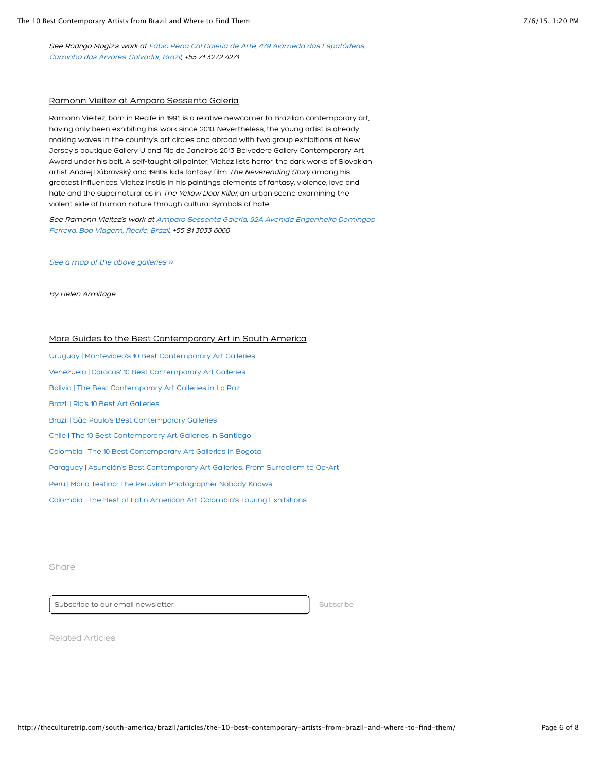[See Rodrigo Mogiz's work at](https://maps.google.com/maps/ms?msid=206322101465595735753.0004f39373f7d8774c36a&msa=0&ll=-21.779905,-34.980469&spn=43.177421,86.572266&dg=feature) [Fábio Pena Cal Galeria de Art](http://www.fabiopenacalgaleria.com.br/portal/galeria/home/index.php)[e, 479 Alameda das Espatódeas,](https://maps.google.com/maps/ms?msid=206322101465595735753.0004f39373f7d8774c36a&msa=0&ll=-21.779905,-34.980469&spn=43.177421,86.572266&dg=feature) Caminho das Árvores, Salvador, Brazil, +55 71 3272 4271

#### Ramonn Vieitez at Amparo Sessenta Galeria

Ramonn Vieitez, born in Recife in 1991, is a relative newcomer to Brazilian contemporary art, having only been exhibiting his work since 2010. Nevertheless, the young artist is already making waves in the country's art circles and abroad with two group exhibitions at New Jersey's boutique Gallery U and Rio de Janeiro's 2013 Belvedere Gallery Contemporary Art Award under his belt. A self-taught oil painter, Vieitez lists horror, the dark works of Slovakian artist Andrej Dúbravský and 1980s kids fantasy film The Neverending Story among his greatest influences. Vieitez instils in his paintings elements of fantasy, violence, love and hate and the supernatural as in The Yellow Door Killer, an urban scene examining the violent side of human nature through cultural symbols of hate.

See Ramonn Vieitez's work at [Amparo Sessenta Galeria](http://www.amparo60.com.br/)[, 92A Avenida Engenheiro Domingos](https://maps.google.com/maps/ms?msid=206322101465595735753.0004f39373f7d8774c36a&msa=0&ll=-21.779905,-34.980469&spn=43.177421,86.572266&dg=feature) Ferreira, Boa Viagem, Recife, Brazil, +55 81 3033 6060

See a map of the above galleries »

By Helen Armitage

## More Guides to the Best Contemporary Art in South America

[Uruguay | Montevideo's 10 Best Contemporary Art Galleries](http://theculturetrip.com/south-america/uruguay/articles/montevideo-s-10-best-contemporary-art-galleries-the-rise-of-uruguayan-art/) [Venezuela | Caracas' 10 Best Contemporary Art Galleries](http://theculturetrip.com/south-america/venezuela/articles/caracas-10-best-contemporary-art-galleries-the-spirit-of-venezuelan-creativity/) [Bolivia | The Best Contemporary Art Galleries in La Paz](http://theculturetrip.com/south-america/bolivia/articles/the-best-contemporary-art-galleries-in-la-paz-another-level-of-art/) [Brazil | Rio's 10 Best Art Galleries](http://theculturetrip.com/south-america/brazil/articles/rio-s-10-best-art-galleries-reinvigorating-brazil-s-cultural-sphere/) [Brazil | São Paulo's Best Contemporary Galleries](http://theculturetrip.com/south-america/brazil/articles/s-o-paulo-s-best-contemporary-galleries-the-home-of-brazilian-art-/) [Chile | The 10 Best Contemporary Art Galleries in Santiago](http://theculturetrip.com/south-america/chile/articles/best-contemporary-art-galleries-in-santiago-the-piquant-power-of-chilean-art/) [Colombia | The 10 Best Contemporary Art Galleries in Bogota](http://theculturetrip.com/south-america/colombia/articles/the-10-best-contemporary-art-galleries-in-bogota-exploring-colombia-s-creativity/) [Paraguay | Asunción's Best Contemporary Art Galleries: From Surrealism to Op-Art](http://theculturetrip.com/south-america/paraguay/articles/asunci-n-s-best-contemporary-art-galleries-from-surrealism-to-op-art/) [Peru | Mario Testino: The Peruvian Photographer Nobody Knows](http://theculturetrip.com/south-america/peru/articles/mario-testino-the-peruvian-photographer-nobody-knows/) [Colombia | The Best of Latin American Art: Colombia's Touring Exhibitions](http://theculturetrip.com/south-america/colombia/articles/the-best-of-latin-american-art-colombia-s-touring-exhibitions/)

Share

Subscribe to our email newsletter subscribe subscribe

Related Articles